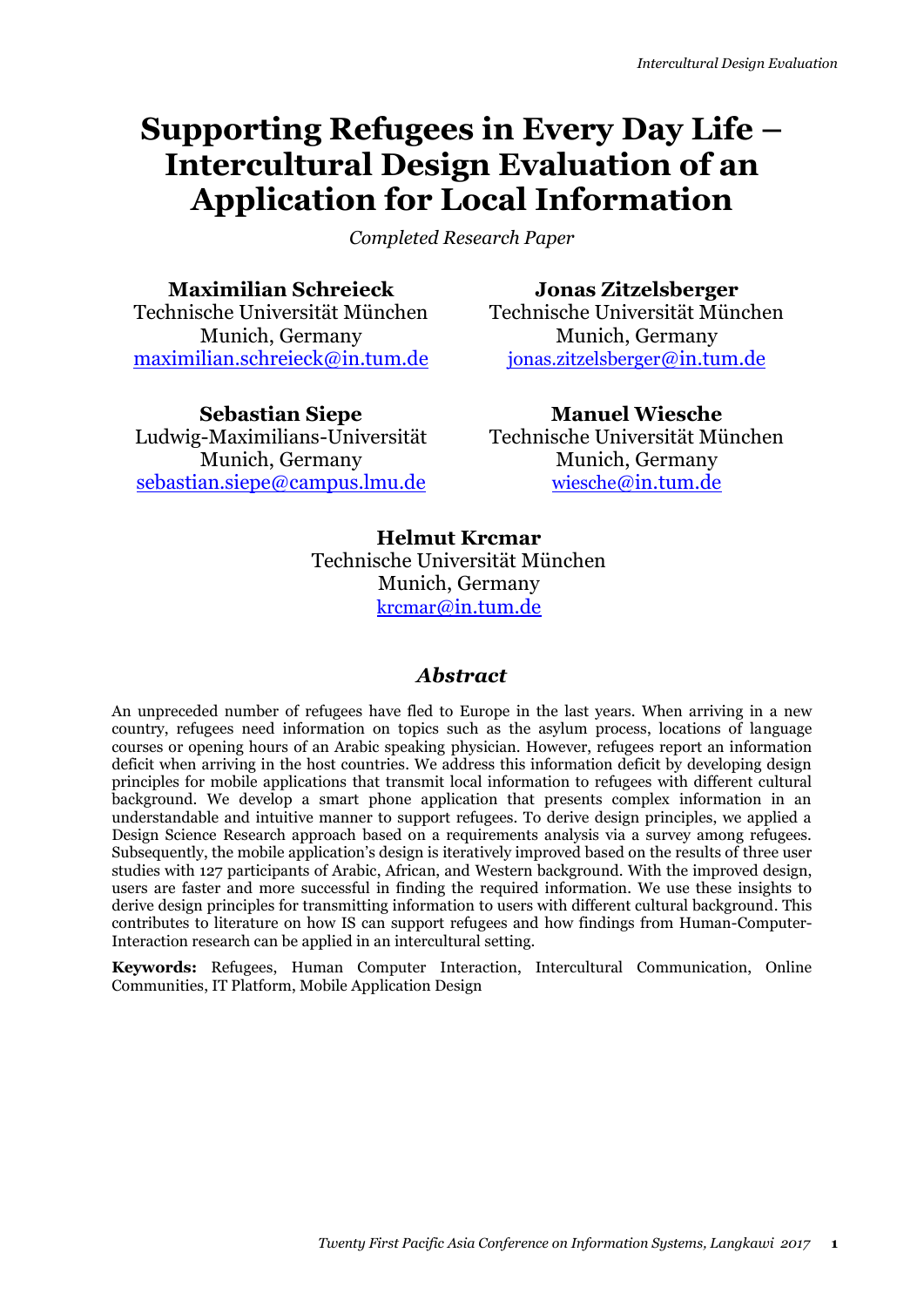# **Supporting Refugees in Every Day Life – Intercultural Design Evaluation of an Application for Local Information**

*Completed Research Paper*

**Maximilian Schreieck**

Technische Universität München Munich, Germany [maximilian.schreieck@in.tum.de](mailto:maximilian.schreieck@in.tum.de)

**Jonas Zitzelsberger** Technische Universität München Munich, Germany

[jonas.zitzelsberger](mailto:jonas.zitzelsberger@in.tum.de)@in.tum.de

**Sebastian Siepe** Ludwig-Maximilians-Universität Munich, Germany [sebastian.siepe@campus.lmu.de](mailto:sebastian.siepe@campus.lmu.de)

**Manuel Wiesche** Technische Universität München Munich, Germany wiesche[@in.tum.de](mailto:wiesche@in.tum.de)

# **Helmut Krcmar** Technische Universität München Munich, Germany krcmar[@in.tum.de](mailto:krcmar@in.tum.de)

# *Abstract*

An unpreceded number of refugees have fled to Europe in the last years. When arriving in a new country, refugees need information on topics such as the asylum process, locations of language courses or opening hours of an Arabic speaking physician. However, refugees report an information deficit when arriving in the host countries. We address this information deficit by developing design principles for mobile applications that transmit local information to refugees with different cultural background. We develop a smart phone application that presents complex information in an understandable and intuitive manner to support refugees. To derive design principles, we applied a Design Science Research approach based on a requirements analysis via a survey among refugees. Subsequently, the mobile application's design is iteratively improved based on the results of three user studies with 127 participants of Arabic, African, and Western background. With the improved design, users are faster and more successful in finding the required information. We use these insights to derive design principles for transmitting information to users with different cultural background. This contributes to literature on how IS can support refugees and how findings from Human-Computer-Interaction research can be applied in an intercultural setting.

**Keywords:** Refugees, Human Computer Interaction, Intercultural Communication, Online Communities, IT Platform, Mobile Application Design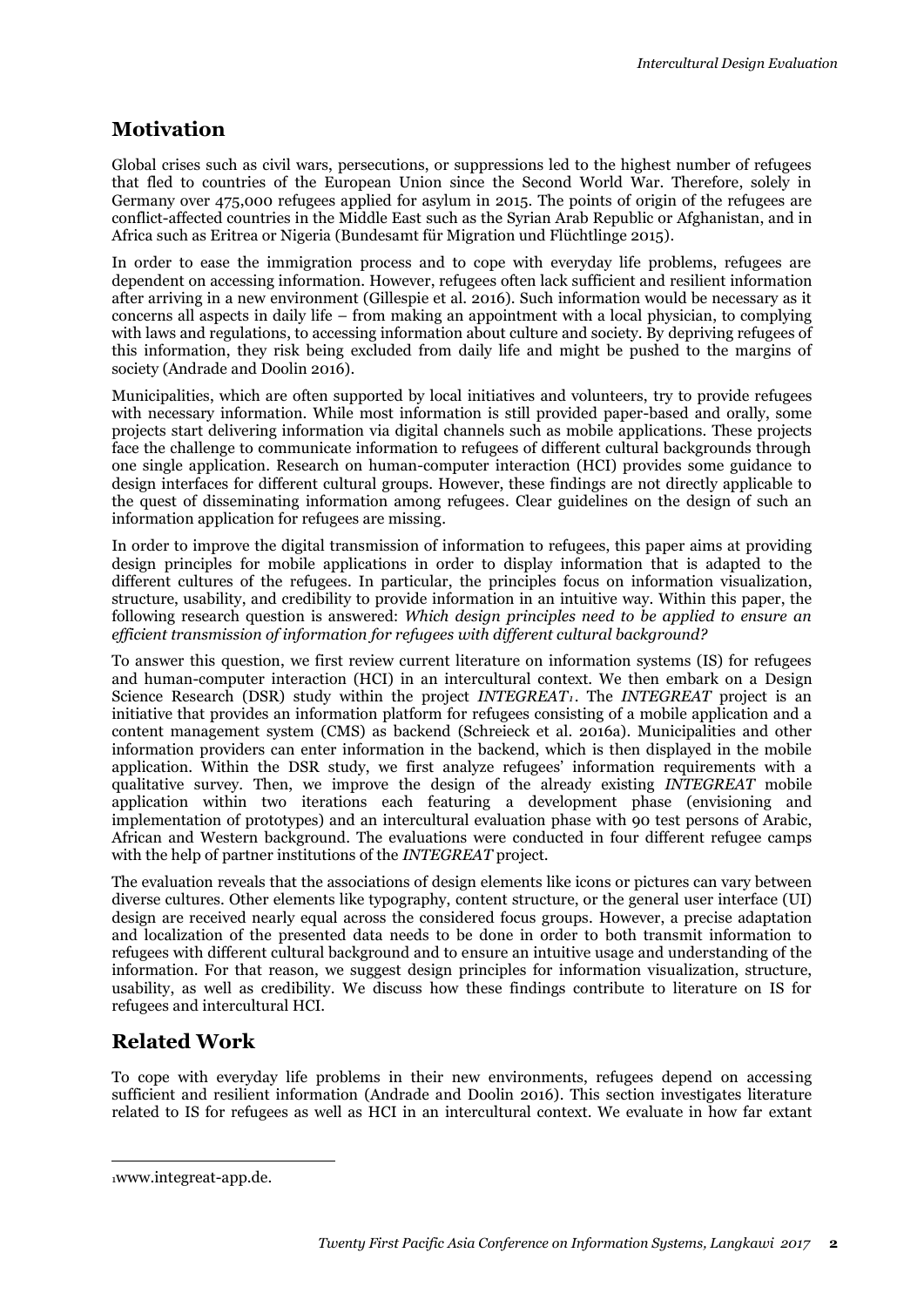# **Motivation**

Global crises such as civil wars, persecutions, or suppressions led to the highest number of refugees that fled to countries of the European Union since the Second World War. Therefore, solely in Germany over 475,000 refugees applied for asylum in 2015. The points of origin of the refugees are conflict-affected countries in the Middle East such as the Syrian Arab Republic or Afghanistan, and in Africa such as Eritrea or Nigeria (Bundesamt für Migration und Flüchtlinge 2015).

In order to ease the immigration process and to cope with everyday life problems, refugees are dependent on accessing information. However, refugees often lack sufficient and resilient information after arriving in a new environment (Gillespie et al. 2016). Such information would be necessary as it concerns all aspects in daily life – from making an appointment with a local physician, to complying with laws and regulations, to accessing information about culture and society. By depriving refugees of this information, they risk being excluded from daily life and might be pushed to the margins of society (Andrade and Doolin 2016).

Municipalities, which are often supported by local initiatives and volunteers, try to provide refugees with necessary information. While most information is still provided paper-based and orally, some projects start delivering information via digital channels such as mobile applications. These projects face the challenge to communicate information to refugees of different cultural backgrounds through one single application. Research on human-computer interaction (HCI) provides some guidance to design interfaces for different cultural groups. However, these findings are not directly applicable to the quest of disseminating information among refugees. Clear guidelines on the design of such an information application for refugees are missing.

In order to improve the digital transmission of information to refugees, this paper aims at providing design principles for mobile applications in order to display information that is adapted to the different cultures of the refugees. In particular, the principles focus on information visualization, structure, usability, and credibility to provide information in an intuitive way. Within this paper, the following research question is answered: *Which design principles need to be applied to ensure an efficient transmission of information for refugees with different cultural background?*

To answer this question, we first review current literature on information systems (IS) for refugees and human-computer interaction (HCI) in an intercultural context. We then embark on a Design Science Research (DSR) study within the project *INTEGREAT<sub>1</sub>*. The *INTEGREAT* project is an initiative that provides an information platform for refugees consisting of a mobile application and a content management system (CMS) as backend (Schreieck et al. 2016a). Municipalities and other information providers can enter information in the backend, which is then displayed in the mobile application. Within the DSR study, we first analyze refugees' information requirements with a qualitative survey. Then, we improve the design of the already existing *INTEGREAT* mobile application within two iterations each featuring a development phase (envisioning and implementation of prototypes) and an intercultural evaluation phase with 90 test persons of Arabic, African and Western background. The evaluations were conducted in four different refugee camps with the help of partner institutions of the *INTEGREAT* project.

The evaluation reveals that the associations of design elements like icons or pictures can vary between diverse cultures. Other elements like typography, content structure, or the general user interface (UI) design are received nearly equal across the considered focus groups. However, a precise adaptation and localization of the presented data needs to be done in order to both transmit information to refugees with different cultural background and to ensure an intuitive usage and understanding of the information. For that reason, we suggest design principles for information visualization, structure, usability, as well as credibility. We discuss how these findings contribute to literature on IS for refugees and intercultural HCI.

# <span id="page-1-0"></span>**Related Work**

To cope with everyday life problems in their new environments, refugees depend on accessing sufficient and resilient information (Andrade and Doolin 2016). This section investigates literature related to IS for refugees as well as HCI in an intercultural context. We evaluate in how far extant

-

<sup>1</sup>www.integreat-app.de.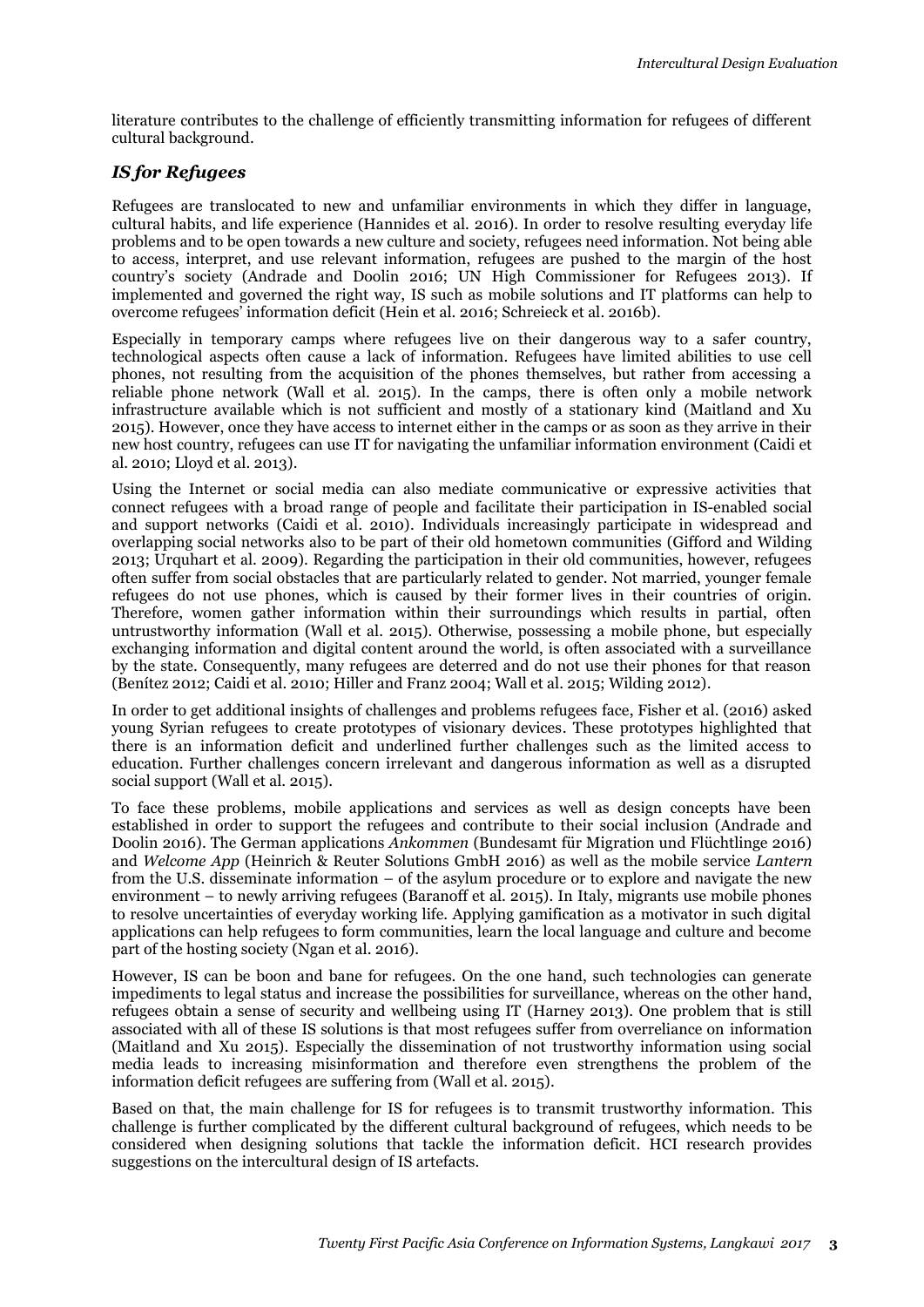literature contributes to the challenge of efficiently transmitting information for refugees of different cultural background.

### *IS for Refugees*

Refugees are translocated to new and unfamiliar environments in which they differ in language, cultural habits, and life experience (Hannides et al. 2016). In order to resolve resulting everyday life problems and to be open towards a new culture and society, refugees need information. Not being able to access, interpret, and use relevant information, refugees are pushed to the margin of the host country's society (Andrade and Doolin 2016; UN High Commissioner for Refugees 2013). If implemented and governed the right way, IS such as mobile solutions and IT platforms can help to overcome refugees' information deficit (Hein et al. 2016; Schreieck et al. 2016b).

Especially in temporary camps where refugees live on their dangerous way to a safer country, technological aspects often cause a lack of information. Refugees have limited abilities to use cell phones, not resulting from the acquisition of the phones themselves, but rather from accessing a reliable phone network (Wall et al. 2015). In the camps, there is often only a mobile network infrastructure available which is not sufficient and mostly of a stationary kind (Maitland and Xu 2015). However, once they have access to internet either in the camps or as soon as they arrive in their new host country, refugees can use IT for navigating the unfamiliar information environment (Caidi et al. 2010; Lloyd et al. 2013).

Using the Internet or social media can also mediate communicative or expressive activities that connect refugees with a broad range of people and facilitate their participation in IS-enabled social and support networks (Caidi et al. 2010). Individuals increasingly participate in widespread and overlapping social networks also to be part of their old hometown communities (Gifford and Wilding 2013; Urquhart et al. 2009). Regarding the participation in their old communities, however, refugees often suffer from social obstacles that are particularly related to gender. Not married, younger female refugees do not use phones, which is caused by their former lives in their countries of origin. Therefore, women gather information within their surroundings which results in partial, often untrustworthy information (Wall et al. 2015). Otherwise, possessing a mobile phone, but especially exchanging information and digital content around the world, is often associated with a surveillance by the state. Consequently, many refugees are deterred and do not use their phones for that reason (Benítez 2012; Caidi et al. 2010; Hiller and Franz 2004; Wall et al. 2015; Wilding 2012).

In order to get additional insights of challenges and problems refugees face, Fisher et al. (2016) asked young Syrian refugees to create prototypes of visionary devices. These prototypes highlighted that there is an information deficit and underlined further challenges such as the limited access to education. Further challenges concern irrelevant and dangerous information as well as a disrupted social support (Wall et al. 2015).

To face these problems, mobile applications and services as well as design concepts have been established in order to support the refugees and contribute to their social inclusion (Andrade and Doolin 2016). The German applications *Ankommen* (Bundesamt für Migration und Flüchtlinge 2016) and *Welcome App* (Heinrich & Reuter Solutions GmbH 2016) as well as the mobile service *Lantern* from the U.S. disseminate information – of the asylum procedure or to explore and navigate the new environment – to newly arriving refugees (Baranoff et al. 2015). In Italy, migrants use mobile phones to resolve uncertainties of everyday working life. Applying gamification as a motivator in such digital applications can help refugees to form communities, learn the local language and culture and become part of the hosting society (Ngan et al. 2016).

However, IS can be boon and bane for refugees. On the one hand, such technologies can generate impediments to legal status and increase the possibilities for surveillance, whereas on the other hand, refugees obtain a sense of security and wellbeing using IT (Harney 2013). One problem that is still associated with all of these IS solutions is that most refugees suffer from overreliance on information (Maitland and Xu 2015). Especially the dissemination of not trustworthy information using social media leads to increasing misinformation and therefore even strengthens the problem of the information deficit refugees are suffering from (Wall et al. 2015).

Based on that, the main challenge for IS for refugees is to transmit trustworthy information. This challenge is further complicated by the different cultural background of refugees, which needs to be considered when designing solutions that tackle the information deficit. HCI research provides suggestions on the intercultural design of IS artefacts.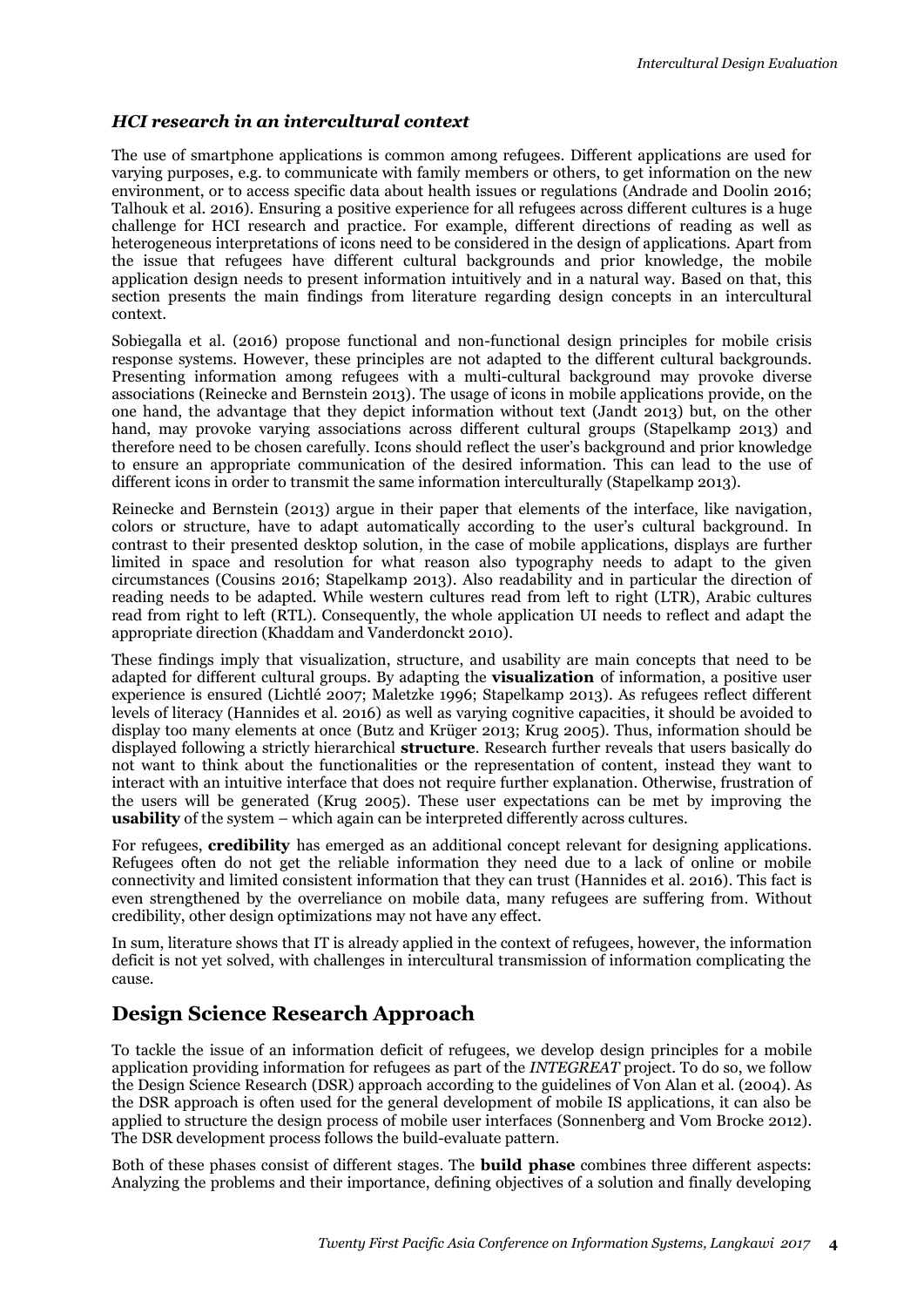### *HCI research in an intercultural context*

The use of smartphone applications is common among refugees. Different applications are used for varying purposes, e.g. to communicate with family members or others, to get information on the new environment, or to access specific data about health issues or regulations (Andrade and Doolin 2016; Talhouk et al. 2016). Ensuring a positive experience for all refugees across different cultures is a huge challenge for HCI research and practice. For example, different directions of reading as well as heterogeneous interpretations of icons need to be considered in the design of applications. Apart from the issue that refugees have different cultural backgrounds and prior knowledge, the mobile application design needs to present information intuitively and in a natural way. Based on that, this section presents the main findings from literature regarding design concepts in an intercultural context.

Sobiegalla et al. (2016) propose functional and non-functional design principles for mobile crisis response systems. However, these principles are not adapted to the different cultural backgrounds. Presenting information among refugees with a multi-cultural background may provoke diverse associations (Reinecke and Bernstein 2013). The usage of icons in mobile applications provide, on the one hand, the advantage that they depict information without text (Jandt 2013) but, on the other hand, may provoke varying associations across different cultural groups (Stapelkamp 2013) and therefore need to be chosen carefully. Icons should reflect the user's background and prior knowledge to ensure an appropriate communication of the desired information. This can lead to the use of different icons in order to transmit the same information interculturally (Stapelkamp 2013).

Reinecke and Bernstein (2013) argue in their paper that elements of the interface, like navigation, colors or structure, have to adapt automatically according to the user's cultural background. In contrast to their presented desktop solution, in the case of mobile applications, displays are further limited in space and resolution for what reason also typography needs to adapt to the given circumstances (Cousins 2016; Stapelkamp 2013). Also readability and in particular the direction of reading needs to be adapted. While western cultures read from left to right (LTR), Arabic cultures read from right to left (RTL). Consequently, the whole application UI needs to reflect and adapt the appropriate direction (Khaddam and Vanderdonckt 2010).

These findings imply that visualization, structure, and usability are main concepts that need to be adapted for different cultural groups. By adapting the **visualization** of information, a positive user experience is ensured (Lichtlé 2007; Maletzke 1996; Stapelkamp 2013). As refugees reflect different levels of literacy (Hannides et al. 2016) as well as varying cognitive capacities, it should be avoided to display too many elements at once (Butz and Krüger 2013; Krug 2005). Thus, information should be displayed following a strictly hierarchical **structure**. Research further reveals that users basically do not want to think about the functionalities or the representation of content, instead they want to interact with an intuitive interface that does not require further explanation. Otherwise, frustration of the users will be generated (Krug 2005). These user expectations can be met by improving the **usability** of the system – which again can be interpreted differently across cultures.

For refugees, **credibility** has emerged as an additional concept relevant for designing applications. Refugees often do not get the reliable information they need due to a lack of online or mobile connectivity and limited consistent information that they can trust (Hannides et al. 2016). This fact is even strengthened by the overreliance on mobile data, many refugees are suffering from. Without credibility, other design optimizations may not have any effect.

In sum, literature shows that IT is already applied in the context of refugees, however, the information deficit is not yet solved, with challenges in intercultural transmission of information complicating the cause.

# **Design Science Research Approach**

To tackle the issue of an information deficit of refugees, we develop design principles for a mobile application providing information for refugees as part of the *INTEGREAT* project. To do so, we follow the Design Science Research (DSR) approach according to the guidelines of Von Alan et al. (2004). As the DSR approach is often used for the general development of mobile IS applications, it can also be applied to structure the design process of mobile user interfaces (Sonnenberg and Vom Brocke 2012). The DSR development process follows the build-evaluate pattern.

Both of these phases consist of different stages. The **build phase** combines three different aspects: Analyzing the problems and their importance, defining objectives of a solution and finally developing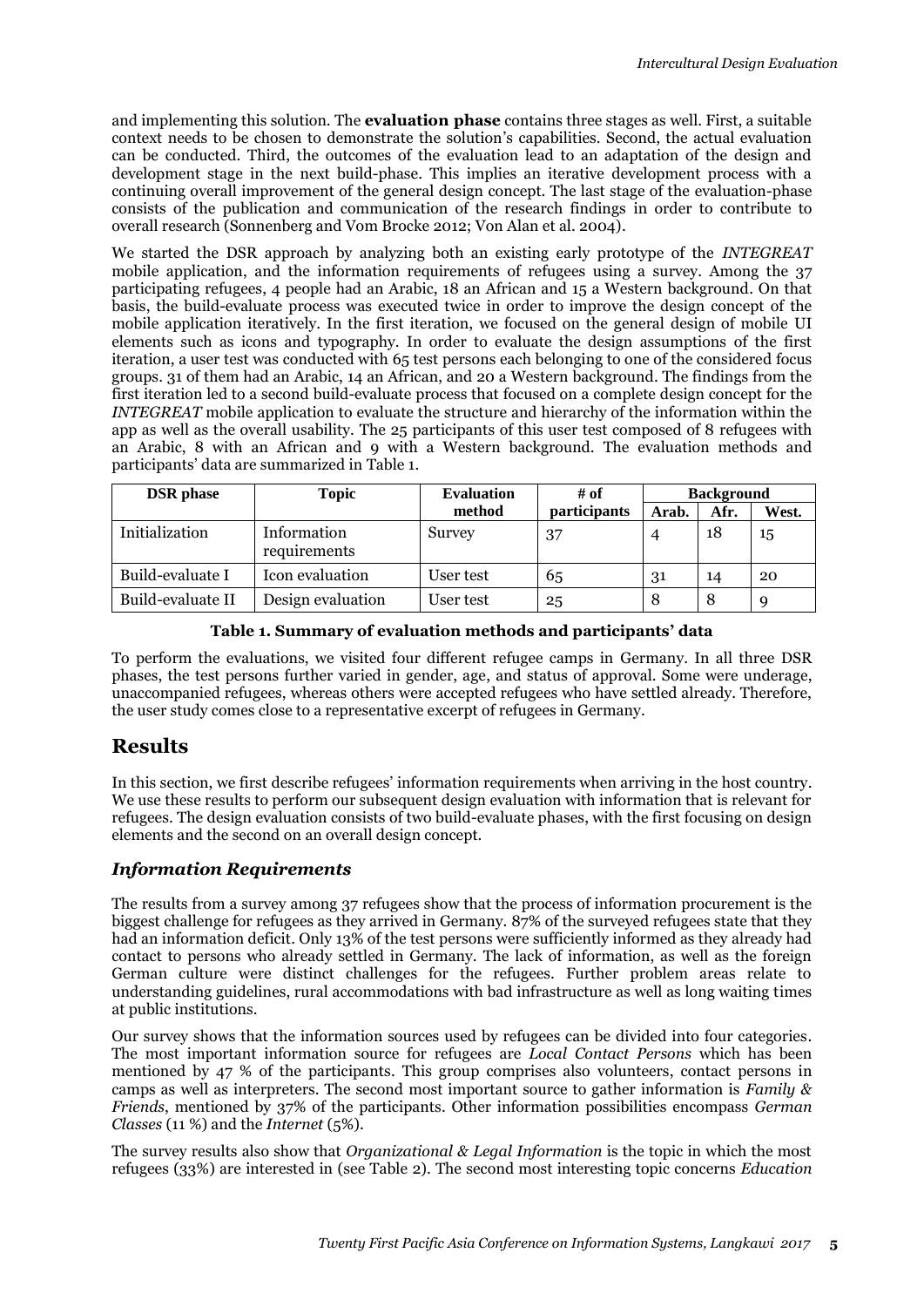and implementing this solution. The **evaluation phase** contains three stages as well. First, a suitable context needs to be chosen to demonstrate the solution's capabilities. Second, the actual evaluation can be conducted. Third, the outcomes of the evaluation lead to an adaptation of the design and development stage in the next build-phase. This implies an iterative development process with a continuing overall improvement of the general design concept. The last stage of the evaluation-phase consists of the publication and communication of the research findings in order to contribute to overall research (Sonnenberg and Vom Brocke 2012; Von Alan et al. 2004).

We started the DSR approach by analyzing both an existing early prototype of the *INTEGREAT* mobile application, and the information requirements of refugees using a survey. Among the 37 participating refugees, 4 people had an Arabic, 18 an African and 15 a Western background. On that basis, the build-evaluate process was executed twice in order to improve the design concept of the mobile application iteratively. In the first iteration, we focused on the general design of mobile UI elements such as icons and typography. In order to evaluate the design assumptions of the first iteration, a user test was conducted with 65 test persons each belonging to one of the considered focus groups. 31 of them had an Arabic, 14 an African, and 20 a Western background. The findings from the first iteration led to a second build-evaluate process that focused on a complete design concept for the *INTEGREAT* mobile application to evaluate the structure and hierarchy of the information within the app as well as the overall usability. The 25 participants of this user test composed of 8 refugees with an Arabic, 8 with an African and 9 with a Western background. The evaluation methods and participants' data are summarized in [Table 1.](#page-4-0)

| <b>DSR</b> phase  | <b>Topic</b>                | <b>Evaluation</b> | # of                | <b>Background</b> |      |       |
|-------------------|-----------------------------|-------------------|---------------------|-------------------|------|-------|
|                   |                             | method            | <i>participants</i> | Arab.             | Afr. | West. |
| Initialization    | Information<br>requirements | Survey            | 37                  | 4                 | 18   | 15    |
| Build-evaluate I  | Icon evaluation             | User test         | 65                  | 31                | 14   | 20    |
| Build-evaluate II | Design evaluation           | User test         | 25                  | 8                 | 8    |       |

|  |  |  |  |  | Table 1. Summary of evaluation methods and participants' data |  |
|--|--|--|--|--|---------------------------------------------------------------|--|
|--|--|--|--|--|---------------------------------------------------------------|--|

<span id="page-4-0"></span>To perform the evaluations, we visited four different refugee camps in Germany. In all three DSR phases, the test persons further varied in gender, age, and status of approval. Some were underage, unaccompanied refugees, whereas others were accepted refugees who have settled already. Therefore, the user study comes close to a representative excerpt of refugees in Germany.

### **Results**

In this section, we first describe refugees' information requirements when arriving in the host country. We use these results to perform our subsequent design evaluation with information that is relevant for refugees. The design evaluation consists of two build-evaluate phases, with the first focusing on design elements and the second on an overall design concept.

#### *Information Requirements*

The results from a survey among 37 refugees show that the process of information procurement is the biggest challenge for refugees as they arrived in Germany. 87% of the surveyed refugees state that they had an information deficit. Only 13% of the test persons were sufficiently informed as they already had contact to persons who already settled in Germany. The lack of information, as well as the foreign German culture were distinct challenges for the refugees. Further problem areas relate to understanding guidelines, rural accommodations with bad infrastructure as well as long waiting times at public institutions.

Our survey shows that the information sources used by refugees can be divided into four categories. The most important information source for refugees are *Local Contact Persons* which has been mentioned by 47 % of the participants. This group comprises also volunteers, contact persons in camps as well as interpreters. The second most important source to gather information is *Family & Friends*, mentioned by 37% of the participants. Other information possibilities encompass *German Classes* (11 %) and the *Internet* (5%).

The survey results also show that *Organizational & Legal Information* is the topic in which the most refugees (33%) are interested in (see [Table 2\)](#page-5-0). The second most interesting topic concerns *Education*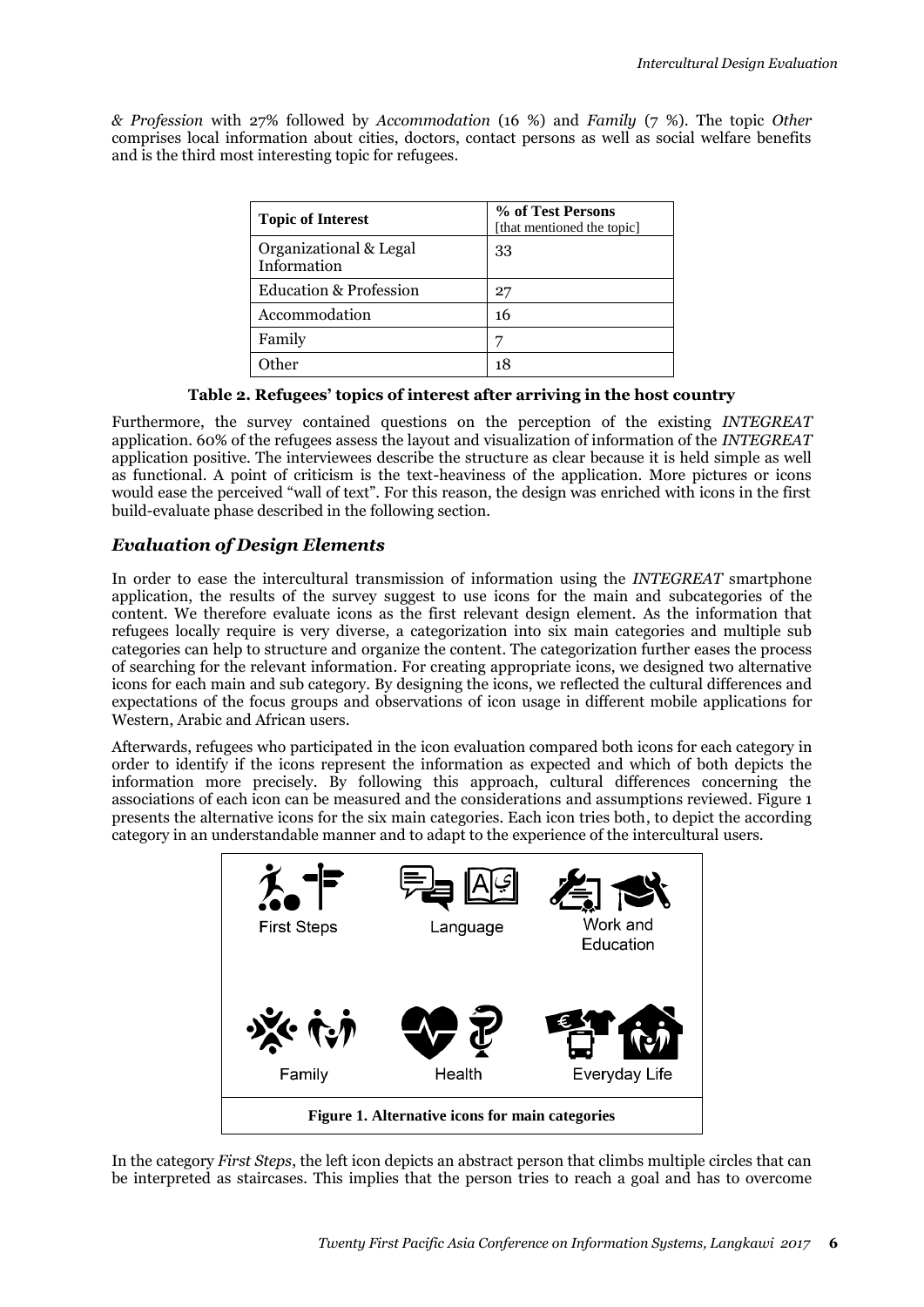*& Profession* with 27% followed by *Accommodation* (16 %) and *Family* (7 %). The topic *Other* comprises local information about cities, doctors, contact persons as well as social welfare benefits and is the third most interesting topic for refugees.

| <b>Topic of Interest</b>              | % of Test Persons<br>[that mentioned the topic] |
|---------------------------------------|-------------------------------------------------|
| Organizational & Legal<br>Information | 33                                              |
| Education & Profession                | 27                                              |
| Accommodation                         | 16                                              |
| Family                                |                                                 |
| ther                                  |                                                 |

#### **Table 2. Refugees' topics of interest after arriving in the host country**

<span id="page-5-0"></span>Furthermore, the survey contained questions on the perception of the existing *INTEGREAT* application. 60% of the refugees assess the layout and visualization of information of the *INTEGREAT* application positive. The interviewees describe the structure as clear because it is held simple as well as functional. A point of criticism is the text-heaviness of the application. More pictures or icons would ease the perceived "wall of text". For this reason, the design was enriched with icons in the first build-evaluate phase described in the following section.

### *Evaluation of Design Elements*

In order to ease the intercultural transmission of information using the *INTEGREAT* smartphone application, the results of the survey suggest to use icons for the main and subcategories of the content. We therefore evaluate icons as the first relevant design element. As the information that refugees locally require is very diverse, a categorization into six main categories and multiple sub categories can help to structure and organize the content. The categorization further eases the process of searching for the relevant information. For creating appropriate icons, we designed two alternative icons for each main and sub category. By designing the icons, we reflected the cultural differences and expectations of the focus groups and observations of icon usage in different mobile applications for Western, Arabic and African users.

Afterwards, refugees who participated in the icon evaluation compared both icons for each category in order to identify if the icons represent the information as expected and which of both depicts the information more precisely. By following this approach, cultural differences concerning the associations of each icon can be measured and the considerations and assumptions reviewed[. Figure 1](#page-5-1) presents the alternative icons for the six main categories. Each icon tries both, to depict the according category in an understandable manner and to adapt to the experience of the intercultural users.



<span id="page-5-1"></span>In the category *First Steps*, the left icon depicts an abstract person that climbs multiple circles that can be interpreted as staircases. This implies that the person tries to reach a goal and has to overcome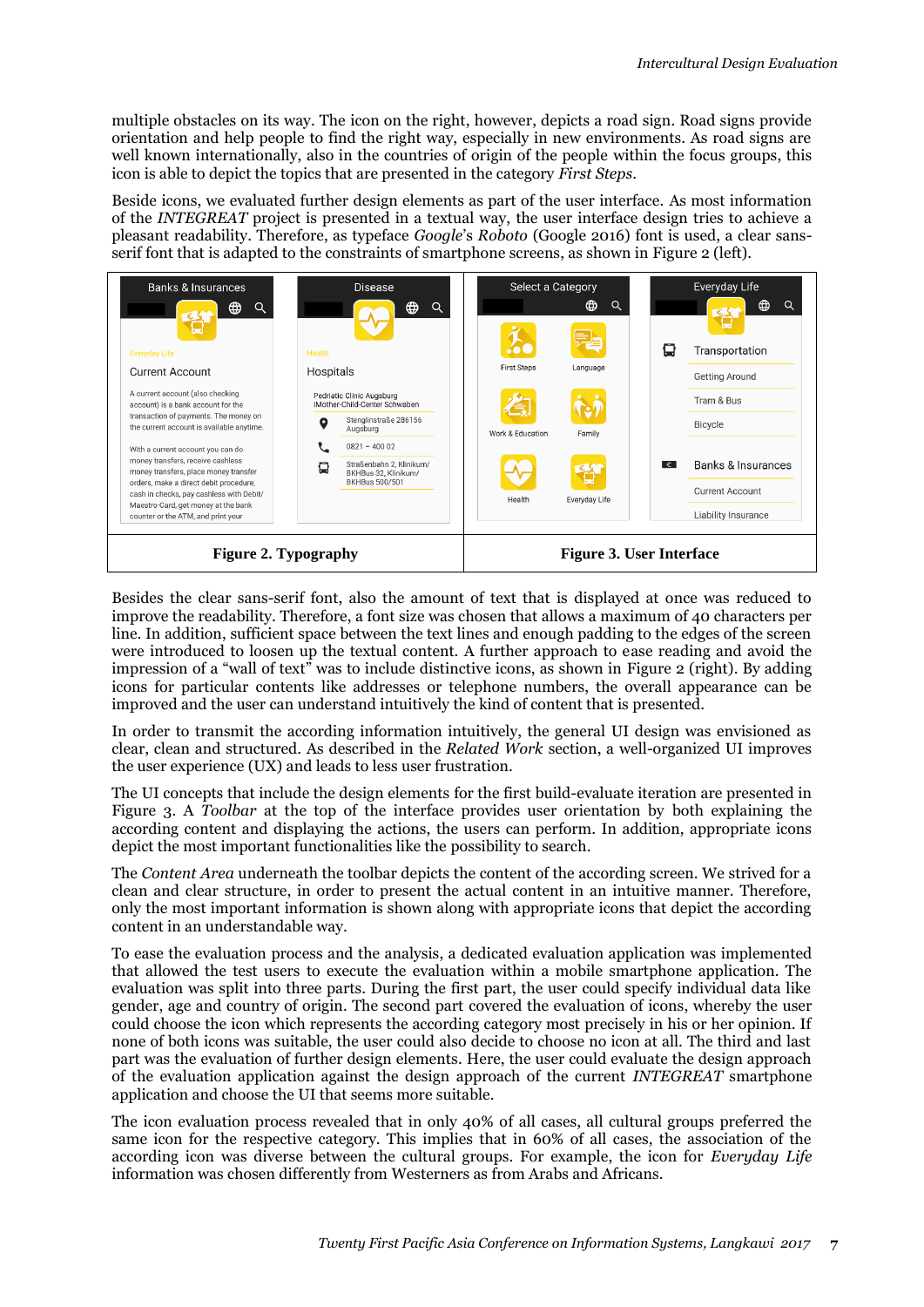multiple obstacles on its way. The icon on the right, however, depicts a road sign. Road signs provide orientation and help people to find the right way, especially in new environments. As road signs are well known internationally, also in the countries of origin of the people within the focus groups, this icon is able to depict the topics that are presented in the category *First Steps*.

Beside icons, we evaluated further design elements as part of the user interface. As most information of the *INTEGREAT* project is presented in a textual way, the user interface design tries to achieve a pleasant readability. Therefore, as typeface *Google*'s *Roboto* (Google 2016) font is used, a clear sansserif font that is adapted to the constraints of smartphone screens, as shown in [Figure 2](#page-6-0) (left).



<span id="page-6-1"></span><span id="page-6-0"></span>Besides the clear sans-serif font, also the amount of text that is displayed at once was reduced to improve the readability. Therefore, a font size was chosen that allows a maximum of 40 characters per line. In addition, sufficient space between the text lines and enough padding to the edges of the screen were introduced to loosen up the textual content. A further approach to ease reading and avoid the impression of a "wall of text" was to include distinctive icons, as shown in [Figure 2](#page-6-0) (right). By adding icons for particular contents like addresses or telephone numbers, the overall appearance can be improved and the user can understand intuitively the kind of content that is presented.

In order to transmit the according information intuitively, the general UI design was envisioned as clear, clean and structured. As described in the *[Related Work](#page-1-0)* section, a well-organized UI improves the user experience (UX) and leads to less user frustration.

The UI concepts that include the design elements for the first build-evaluate iteration are presented in [Figure 3.](#page-6-1) A *Toolbar* at the top of the interface provides user orientation by both explaining the according content and displaying the actions, the users can perform. In addition, appropriate icons depict the most important functionalities like the possibility to search.

The *Content Area* underneath the toolbar depicts the content of the according screen. We strived for a clean and clear structure, in order to present the actual content in an intuitive manner. Therefore, only the most important information is shown along with appropriate icons that depict the according content in an understandable way.

To ease the evaluation process and the analysis, a dedicated evaluation application was implemented that allowed the test users to execute the evaluation within a mobile smartphone application. The evaluation was split into three parts. During the first part, the user could specify individual data like gender, age and country of origin. The second part covered the evaluation of icons, whereby the user could choose the icon which represents the according category most precisely in his or her opinion. If none of both icons was suitable, the user could also decide to choose no icon at all. The third and last part was the evaluation of further design elements. Here, the user could evaluate the design approach of the evaluation application against the design approach of the current *INTEGREAT* smartphone application and choose the UI that seems more suitable.

The icon evaluation process revealed that in only 40% of all cases, all cultural groups preferred the same icon for the respective category. This implies that in 60% of all cases, the association of the according icon was diverse between the cultural groups. For example, the icon for *Everyday Life* information was chosen differently from Westerners as from Arabs and Africans.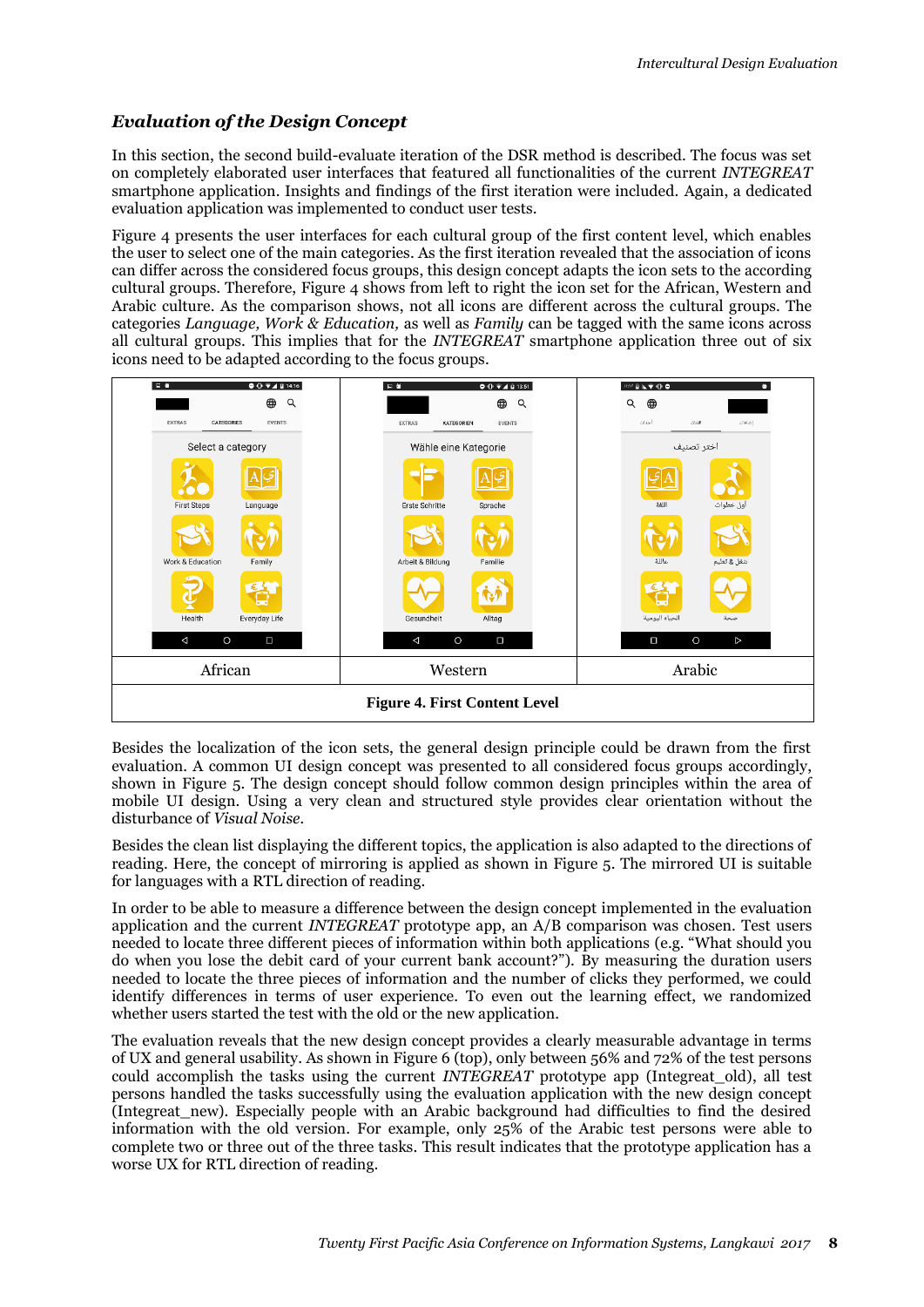### *Evaluation of the Design Concept*

In this section, the second build-evaluate iteration of the DSR method is described. The focus was set on completely elaborated user interfaces that featured all functionalities of the current *INTEGREAT* smartphone application. Insights and findings of the first iteration were included. Again, a dedicated evaluation application was implemented to conduct user tests.

[Figure 4](#page-7-0) presents the user interfaces for each cultural group of the first content level, which enables the user to select one of the main categories. As the first iteration revealed that the association of icons can differ across the considered focus groups, this design concept adapts the icon sets to the according cultural groups. Therefore, [Figure 4](#page-7-0) shows from left to right the icon set for the African, Western and Arabic culture. As the comparison shows, not all icons are different across the cultural groups. The categories *Language, Work & Education,* as well as *Family* can be tagged with the same icons across all cultural groups. This implies that for the *INTEGREAT* smartphone application three out of six icons need to be adapted according to the focus groups.



<span id="page-7-0"></span>Besides the localization of the icon sets, the general design principle could be drawn from the first evaluation. A common UI design concept was presented to all considered focus groups accordingly, shown in [Figure 5.](#page-8-0) The design concept should follow common design principles within the area of mobile UI design. Using a very clean and structured style provides clear orientation without the disturbance of *Visual Noise.*

Besides the clean list displaying the different topics, the application is also adapted to the directions of reading. Here, the concept of mirroring is applied as shown in [Figure 5.](#page-8-0) The mirrored UI is suitable for languages with a RTL direction of reading.

In order to be able to measure a difference between the design concept implemented in the evaluation application and the current *INTEGREAT* prototype app, an A/B comparison was chosen. Test users needed to locate three different pieces of information within both applications (e.g. "What should you do when you lose the debit card of your current bank account?"). By measuring the duration users needed to locate the three pieces of information and the number of clicks they performed, we could identify differences in terms of user experience. To even out the learning effect, we randomized whether users started the test with the old or the new application.

The evaluation reveals that the new design concept provides a clearly measurable advantage in terms of UX and general usability. As shown in [Figure 6](#page-8-1) (top), only between 56% and 72% of the test persons could accomplish the tasks using the current *INTEGREAT* prototype app (Integreat\_old), all test persons handled the tasks successfully using the evaluation application with the new design concept (Integreat\_new). Especially people with an Arabic background had difficulties to find the desired information with the old version. For example, only 25% of the Arabic test persons were able to complete two or three out of the three tasks. This result indicates that the prototype application has a worse UX for RTL direction of reading.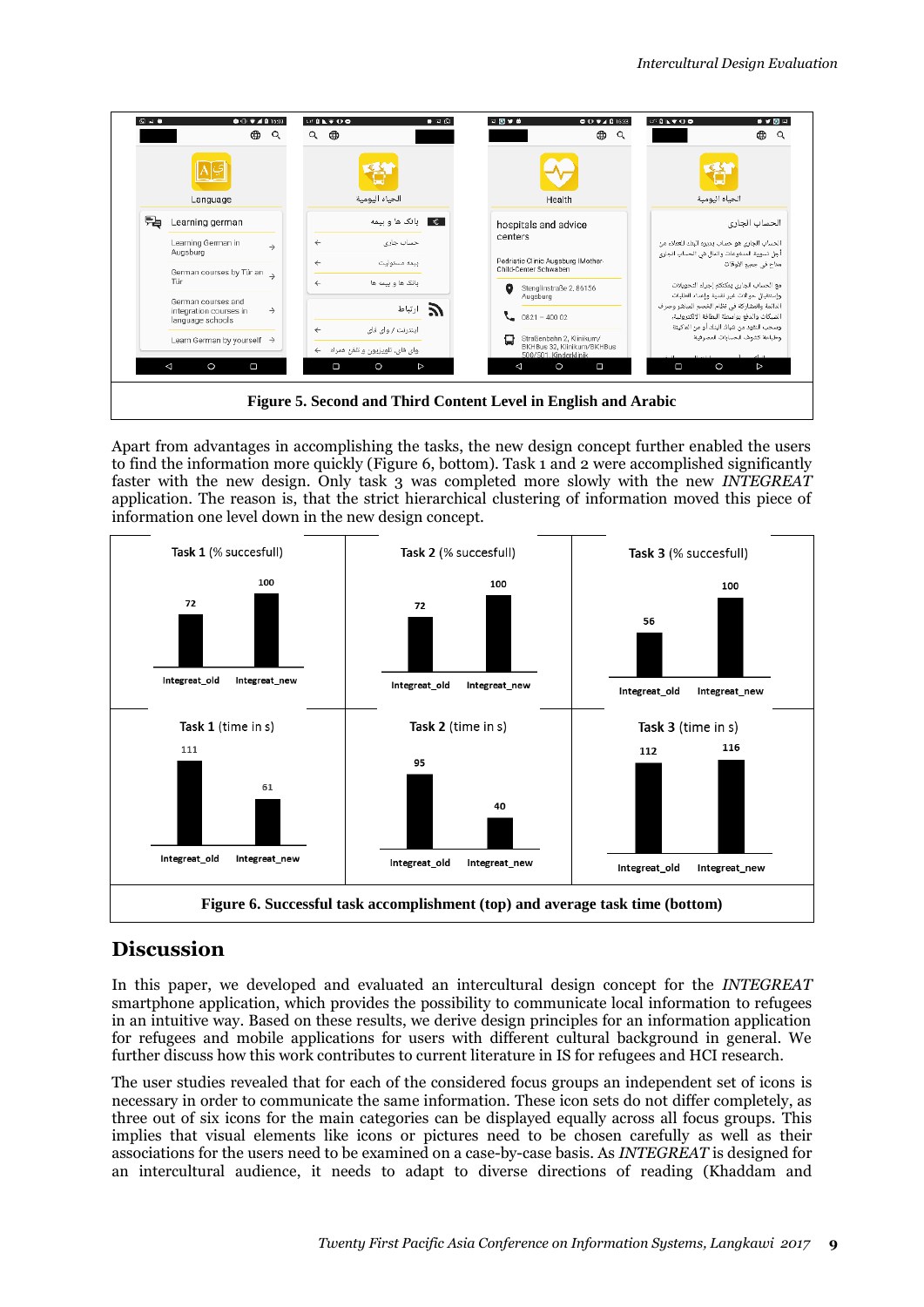|                                                                                                       | ⊕<br>Q                                          | 计自动字母类<br>⊕<br>Q               | $\bullet$ $\Box$ $\odot$ | 日間開き<br>$\bullet$ O $\bullet$ $\bullet$ B 16:33<br>⊕<br>Q                            | ●夕閑日<br>○○日にすり●<br>⊕<br>Q                                                                |
|-------------------------------------------------------------------------------------------------------|-------------------------------------------------|--------------------------------|--------------------------|--------------------------------------------------------------------------------------|------------------------------------------------------------------------------------------|
|                                                                                                       |                                                 |                                |                          |                                                                                      |                                                                                          |
|                                                                                                       | Language                                        | الحياه اليومية                 |                          | Health                                                                               | الحياه اليومية                                                                           |
| r.                                                                                                    | Learning german                                 |                                | <b>■€</b> بانک ها و بیمه | hospitals and advice                                                                 | الحساب الجارى                                                                            |
|                                                                                                       | Learning German in<br>$\rightarrow$<br>Augsburg | $\leftarrow$                   | حساب چاری                | centers                                                                              | الحساب الجارى هو حساب بديره البنك للعملاء من                                             |
| German courses by Tür an $\rightarrow$<br>Tür<br>German courses and                                   | $\leftarrow$<br>$\leftarrow$                    |                                | بيمه مسئوليت             | Pedriatic Clinic Augsburg IMother-<br>Child-Center Schwaben                          | أجل تسوية المدفوعات والمال فى الحساب الجارى<br>متاح في جميع الأوقات                      |
|                                                                                                       |                                                 |                                | بانک ها و بیمه ها        | ۰<br>Stenglinstraße 2, 86156                                                         | مع الحساب الجارى يمكنكم إجراء التحويلات                                                  |
|                                                                                                       |                                                 |                                |                          | Augsburg                                                                             | وإستقبال حوالات غير نقدية وإعداد الطلبات<br>الدائمة والمشاركة فى نظام الخصم المباشر وصرف |
| $\rightarrow$<br>integration courses in<br>language schools<br>Learn German by yourself $\rightarrow$ |                                                 |                                | $\sum_{i=1}^n$           | $0821 - 40002$<br>◟                                                                  | الشيكات والدفع بواسطة البطافة الإلكترونية،                                               |
|                                                                                                       |                                                 | $\leftarrow$                   | اینترنت / وای فای        |                                                                                      | وسحب النفود من شباك البنك أو من الماكينة                                                 |
|                                                                                                       |                                                 | وای فای، تلویزیون و تلفن همراه |                          | Ω<br>Straßenbahn 2, Klinikum/<br>BKHBus 32. Klinikum/BKHBus<br>500/501. Kinderklinik | وطباعة كشوف الحسابات المصرفية                                                            |
| Δ                                                                                                     | О<br>$\circ$                                    | $\circ$<br>$\Box$              | $\triangleright$         | Ο<br>◁<br>$\circ$                                                                    | Ω<br>$\circ$<br>$\triangleright$                                                         |

<span id="page-8-0"></span>Apart from advantages in accomplishing the tasks, the new design concept further enabled the users to find the information more quickly [\(Figure 6,](#page-8-1) bottom). Task 1 and 2 were accomplished significantly faster with the new design. Only task 3 was completed more slowly with the new *INTEGREAT* application. The reason is, that the strict hierarchical clustering of information moved this piece of information one level down in the new design concept.



# <span id="page-8-1"></span>**Discussion**

In this paper, we developed and evaluated an intercultural design concept for the *INTEGREAT* smartphone application, which provides the possibility to communicate local information to refugees in an intuitive way. Based on these results, we derive design principles for an information application for refugees and mobile applications for users with different cultural background in general. We further discuss how this work contributes to current literature in IS for refugees and HCI research.

The user studies revealed that for each of the considered focus groups an independent set of icons is necessary in order to communicate the same information. These icon sets do not differ completely, as three out of six icons for the main categories can be displayed equally across all focus groups. This implies that visual elements like icons or pictures need to be chosen carefully as well as their associations for the users need to be examined on a case-by-case basis. As *INTEGREAT* is designed for an intercultural audience, it needs to adapt to diverse directions of reading (Khaddam and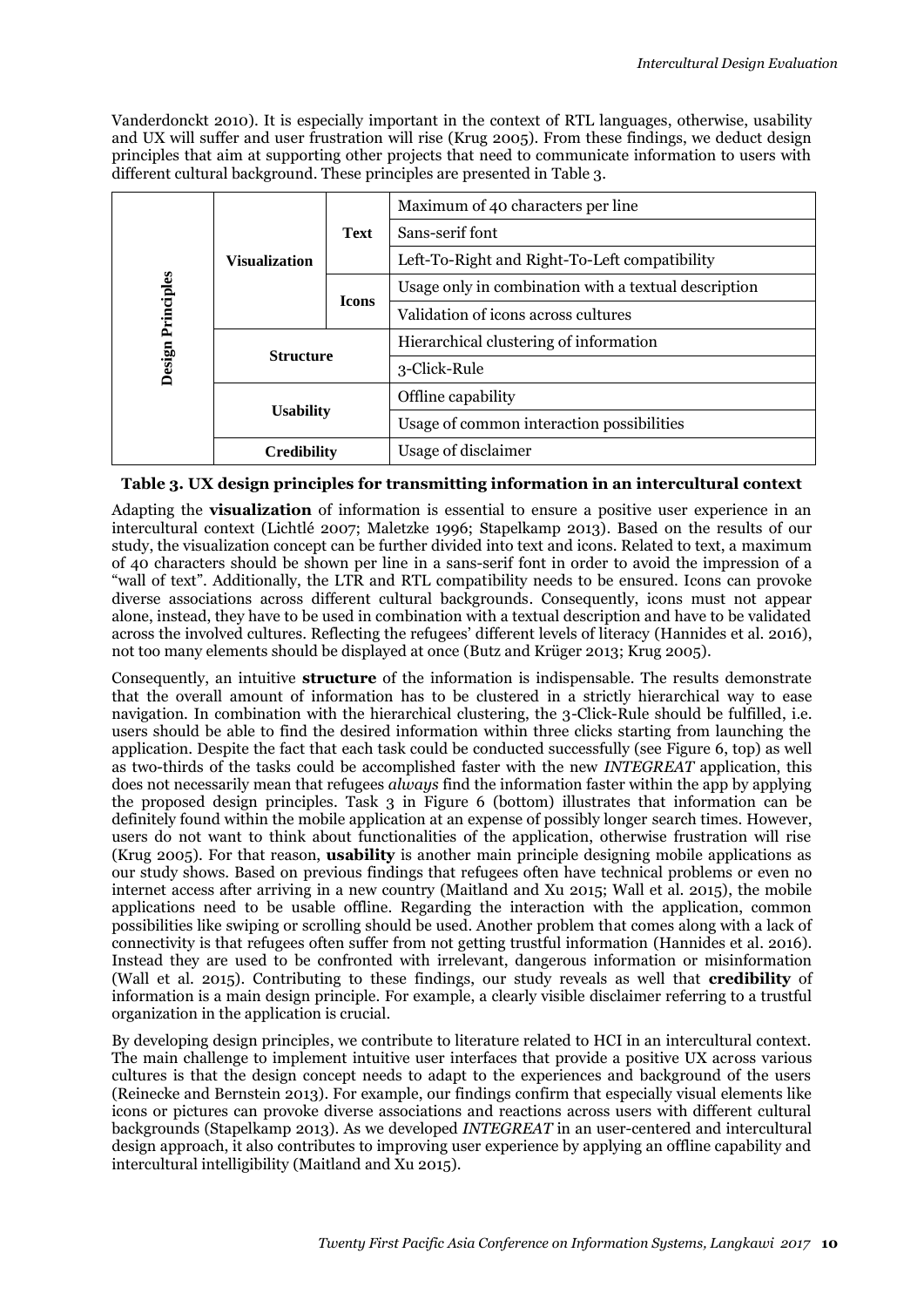Vanderdonckt 2010). It is especially important in the context of RTL languages, otherwise, usability and UX will suffer and user frustration will rise (Krug 2005). From these findings, we deduct design principles that aim at supporting other projects that need to communicate information to users with different cultural background. These principles are presented in [Table 3.](#page-9-0)

| Design Principles | <b>Visualization</b> |              | Maximum of 40 characters per line                    |
|-------------------|----------------------|--------------|------------------------------------------------------|
|                   |                      | <b>Text</b>  | Sans-serif font                                      |
|                   |                      |              | Left-To-Right and Right-To-Left compatibility        |
|                   |                      | <b>Icons</b> | Usage only in combination with a textual description |
|                   |                      |              | Validation of icons across cultures                  |
|                   | <b>Structure</b>     |              | Hierarchical clustering of information               |
|                   |                      |              | 3-Click-Rule                                         |
|                   | <b>Usability</b>     |              | Offline capability                                   |
|                   |                      |              | Usage of common interaction possibilities            |
|                   | <b>Credibility</b>   |              | Usage of disclaimer                                  |

#### <span id="page-9-0"></span>**Table 3. UX design principles for transmitting information in an intercultural context**

Adapting the **visualization** of information is essential to ensure a positive user experience in an intercultural context (Lichtlé 2007; Maletzke 1996; Stapelkamp 2013). Based on the results of our study, the visualization concept can be further divided into text and icons. Related to text, a maximum of 40 characters should be shown per line in a sans-serif font in order to avoid the impression of a "wall of text". Additionally, the LTR and RTL compatibility needs to be ensured. Icons can provoke diverse associations across different cultural backgrounds. Consequently, icons must not appear alone, instead, they have to be used in combination with a textual description and have to be validated across the involved cultures. Reflecting the refugees' different levels of literacy (Hannides et al. 2016), not too many elements should be displayed at once (Butz and Krüger 2013; Krug 2005).

Consequently, an intuitive **structure** of the information is indispensable. The results demonstrate that the overall amount of information has to be clustered in a strictly hierarchical way to ease navigation. In combination with the hierarchical clustering, the 3-Click-Rule should be fulfilled, i.e. users should be able to find the desired information within three clicks starting from launching the application. Despite the fact that each task could be conducted successfully (see [Figure 6,](#page-8-1) top) as well as two-thirds of the tasks could be accomplished faster with the new *INTEGREAT* application, this does not necessarily mean that refugees *always* find the information faster within the app by applying the proposed design principles. Task 3 in [Figure 6](#page-8-1) (bottom) illustrates that information can be definitely found within the mobile application at an expense of possibly longer search times. However, users do not want to think about functionalities of the application, otherwise frustration will rise (Krug 2005). For that reason, **usability** is another main principle designing mobile applications as our study shows. Based on previous findings that refugees often have technical problems or even no internet access after arriving in a new country (Maitland and Xu 2015; Wall et al. 2015), the mobile applications need to be usable offline. Regarding the interaction with the application, common possibilities like swiping or scrolling should be used. Another problem that comes along with a lack of connectivity is that refugees often suffer from not getting trustful information (Hannides et al. 2016). Instead they are used to be confronted with irrelevant, dangerous information or misinformation (Wall et al. 2015). Contributing to these findings, our study reveals as well that **credibility** of information is a main design principle. For example, a clearly visible disclaimer referring to a trustful organization in the application is crucial.

By developing design principles, we contribute to literature related to HCI in an intercultural context. The main challenge to implement intuitive user interfaces that provide a positive UX across various cultures is that the design concept needs to adapt to the experiences and background of the users (Reinecke and Bernstein 2013). For example, our findings confirm that especially visual elements like icons or pictures can provoke diverse associations and reactions across users with different cultural backgrounds (Stapelkamp 2013). As we developed *INTEGREAT* in an user-centered and intercultural design approach, it also contributes to improving user experience by applying an offline capability and intercultural intelligibility (Maitland and Xu 2015).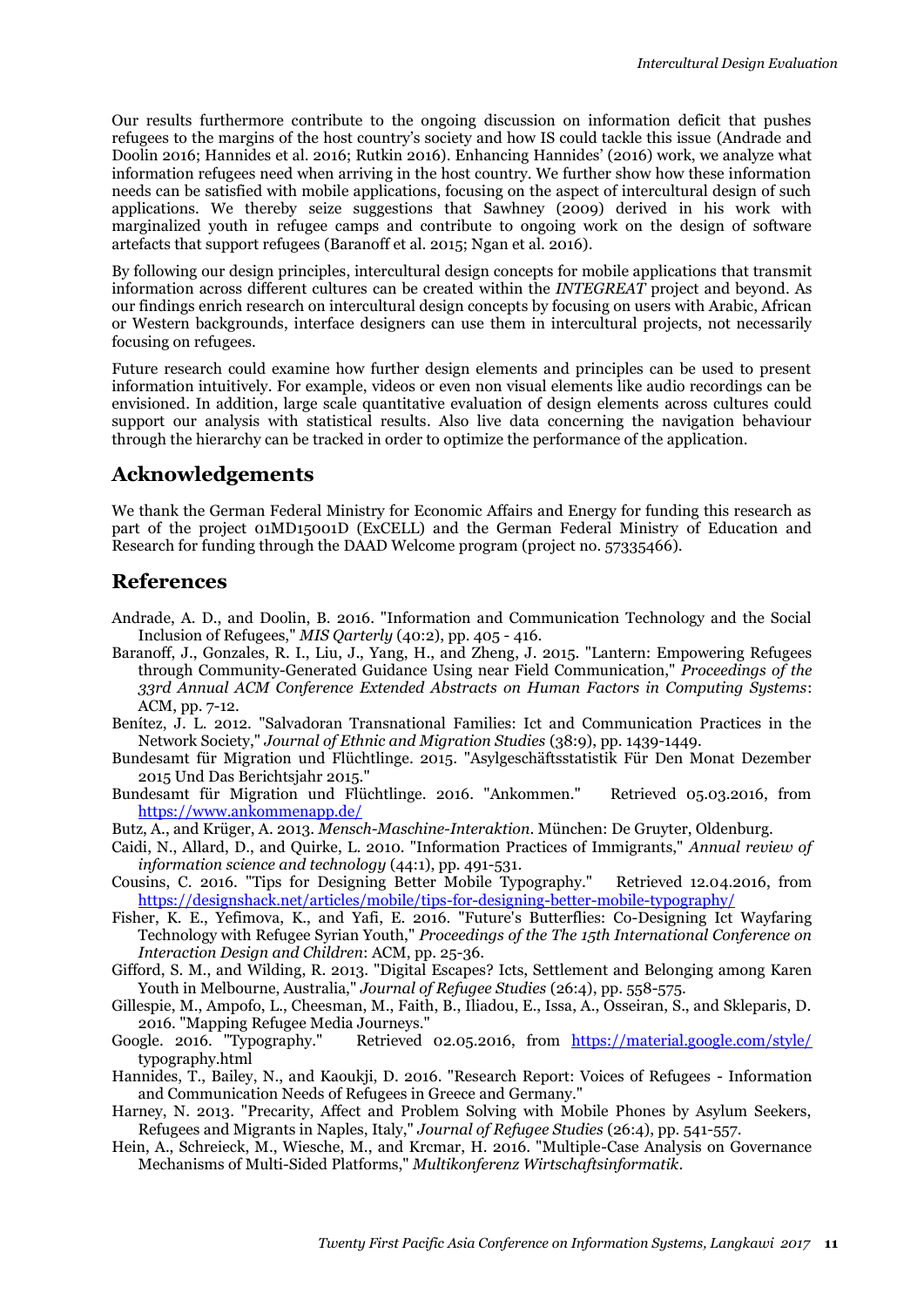Our results furthermore contribute to the ongoing discussion on information deficit that pushes refugees to the margins of the host country's society and how IS could tackle this issue (Andrade and Doolin 2016; Hannides et al. 2016; Rutkin 2016). Enhancing Hannides' (2016) work, we analyze what information refugees need when arriving in the host country. We further show how these information needs can be satisfied with mobile applications, focusing on the aspect of intercultural design of such applications. We thereby seize suggestions that Sawhney (2009) derived in his work with marginalized youth in refugee camps and contribute to ongoing work on the design of software artefacts that support refugees (Baranoff et al. 2015; Ngan et al. 2016).

By following our design principles, intercultural design concepts for mobile applications that transmit information across different cultures can be created within the *INTEGREAT* project and beyond. As our findings enrich research on intercultural design concepts by focusing on users with Arabic, African or Western backgrounds, interface designers can use them in intercultural projects, not necessarily focusing on refugees.

Future research could examine how further design elements and principles can be used to present information intuitively. For example, videos or even non visual elements like audio recordings can be envisioned. In addition, large scale quantitative evaluation of design elements across cultures could support our analysis with statistical results. Also live data concerning the navigation behaviour through the hierarchy can be tracked in order to optimize the performance of the application.

### **Acknowledgements**

We thank the German Federal Ministry for Economic Affairs and Energy for funding this research as part of the project 01MD15001D (ExCELL) and the German Federal Ministry of Education and Research for funding through the DAAD Welcome program (project no. 57335466).

### **References**

- Andrade, A. D., and Doolin, B. 2016. "Information and Communication Technology and the Social Inclusion of Refugees," *MIS Qarterly* (40:2), pp. 405 - 416.
- Baranoff, J., Gonzales, R. I., Liu, J., Yang, H., and Zheng, J. 2015. "Lantern: Empowering Refugees through Community-Generated Guidance Using near Field Communication," *Proceedings of the 33rd Annual ACM Conference Extended Abstracts on Human Factors in Computing Systems*: ACM, pp. 7-12.
- Benítez, J. L. 2012. "Salvadoran Transnational Families: Ict and Communication Practices in the Network Society," *Journal of Ethnic and Migration Studies* (38:9), pp. 1439-1449.
- Bundesamt für Migration und Flüchtlinge. 2015. "Asylgeschäftsstatistik Für Den Monat Dezember 2015 Und Das Berichtsjahr 2015."
- Bundesamt für Migration und Flüchtlinge. 2016. "Ankommen." Retrieved 05.03.2016, from <https://www.ankommenapp.de/>
- Butz, A., and Krüger, A. 2013. *Mensch-Maschine-Interaktion*. München: De Gruyter, Oldenburg.
- Caidi, N., Allard, D., and Quirke, L. 2010. "Information Practices of Immigrants," *Annual review of information science and technology* (44:1), pp. 491-531.
- Cousins, C. 2016. "Tips for Designing Better Mobile Typography." Retrieved 12.04.2016, from <https://designshack.net/articles/mobile/tips-for-designing-better-mobile-typography/>
- Fisher, K. E., Yefimova, K., and Yafi, E. 2016. "Future's Butterflies: Co-Designing Ict Wayfaring Technology with Refugee Syrian Youth," *Proceedings of the The 15th International Conference on Interaction Design and Children*: ACM, pp. 25-36.
- Gifford, S. M., and Wilding, R. 2013. "Digital Escapes? Icts, Settlement and Belonging among Karen Youth in Melbourne, Australia," *Journal of Refugee Studies* (26:4), pp. 558-575.
- Gillespie, M., Ampofo, L., Cheesman, M., Faith, B., Iliadou, E., Issa, A., Osseiran, S., and Skleparis, D. 2016. "Mapping Refugee Media Journeys."
- Google. 2016. "Typography." Retrieved 02.05.2016, from <https://material.google.com/style/> typography.html
- Hannides, T., Bailey, N., and Kaoukji, D. 2016. "Research Report: Voices of Refugees Information and Communication Needs of Refugees in Greece and Germany."
- Harney, N. 2013. "Precarity, Affect and Problem Solving with Mobile Phones by Asylum Seekers, Refugees and Migrants in Naples, Italy," *Journal of Refugee Studies* (26:4), pp. 541-557.
- Hein, A., Schreieck, M., Wiesche, M., and Krcmar, H. 2016. "Multiple-Case Analysis on Governance Mechanisms of Multi-Sided Platforms," *Multikonferenz Wirtschaftsinformatik*.